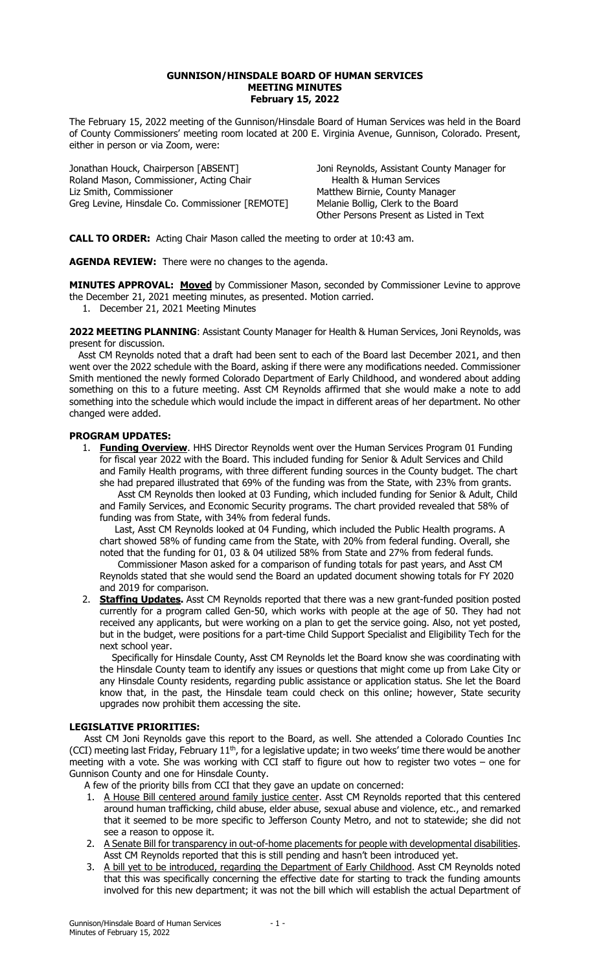## GUNNISON/HINSDALE BOARD OF HUMAN SERVICES MEETING MINUTES February 15, 2022

The February 15, 2022 meeting of the Gunnison/Hinsdale Board of Human Services was held in the Board of County Commissioners' meeting room located at 200 E. Virginia Avenue, Gunnison, Colorado. Present, either in person or via Zoom, were:

Jonathan Houck, Chairperson [ABSENT] Joni Reynolds, Assistant County Manager for Roland Mason, Commissioner, Acting Chair Liz Smith, Commissioner Matthew Birnie, County Manager Greg Levine, Hinsdale Co. Commissioner [REMOTE] Melanie Bollig, Clerk to the Board

Other Persons Present as Listed in Text

CALL TO ORDER: Acting Chair Mason called the meeting to order at 10:43 am.

AGENDA REVIEW: There were no changes to the agenda.

MINUTES APPROVAL: Moved by Commissioner Mason, seconded by Commissioner Levine to approve the December 21, 2021 meeting minutes, as presented. Motion carried.

1. December 21, 2021 Meeting Minutes

2022 MEETING PLANNING: Assistant County Manager for Health & Human Services, Joni Reynolds, was present for discussion.

 Asst CM Reynolds noted that a draft had been sent to each of the Board last December 2021, and then went over the 2022 schedule with the Board, asking if there were any modifications needed. Commissioner Smith mentioned the newly formed Colorado Department of Early Childhood, and wondered about adding something on this to a future meeting. Asst CM Reynolds affirmed that she would make a note to add something into the schedule which would include the impact in different areas of her department. No other changed were added.

## PROGRAM UPDATES:

1. Funding Overview. HHS Director Reynolds went over the Human Services Program 01 Funding for fiscal year 2022 with the Board. This included funding for Senior & Adult Services and Child and Family Health programs, with three different funding sources in the County budget. The chart she had prepared illustrated that 69% of the funding was from the State, with 23% from grants.

 Asst CM Reynolds then looked at 03 Funding, which included funding for Senior & Adult, Child and Family Services, and Economic Security programs. The chart provided revealed that 58% of funding was from State, with 34% from federal funds.

 Last, Asst CM Reynolds looked at 04 Funding, which included the Public Health programs. A chart showed 58% of funding came from the State, with 20% from federal funding. Overall, she noted that the funding for 01, 03 & 04 utilized 58% from State and 27% from federal funds.

 Commissioner Mason asked for a comparison of funding totals for past years, and Asst CM Reynolds stated that she would send the Board an updated document showing totals for FY 2020 and 2019 for comparison.

2. **Staffing Updates.** Asst CM Reynolds reported that there was a new grant-funded position posted currently for a program called Gen-50, which works with people at the age of 50. They had not received any applicants, but were working on a plan to get the service going. Also, not yet posted, but in the budget, were positions for a part-time Child Support Specialist and Eligibility Tech for the next school year.

 Specifically for Hinsdale County, Asst CM Reynolds let the Board know she was coordinating with the Hinsdale County team to identify any issues or questions that might come up from Lake City or any Hinsdale County residents, regarding public assistance or application status. She let the Board know that, in the past, the Hinsdale team could check on this online; however, State security upgrades now prohibit them accessing the site.

## LEGISLATIVE PRIORITIES:

 Asst CM Joni Reynolds gave this report to the Board, as well. She attended a Colorado Counties Inc (CCI) meeting last Friday, February 11<sup>th</sup>, for a legislative update; in two weeks' time there would be another meeting with a vote. She was working with CCI staff to figure out how to register two votes – one for Gunnison County and one for Hinsdale County.

A few of the priority bills from CCI that they gave an update on concerned:

- 1. A House Bill centered around family justice center. Asst CM Reynolds reported that this centered around human trafficking, child abuse, elder abuse, sexual abuse and violence, etc., and remarked that it seemed to be more specific to Jefferson County Metro, and not to statewide; she did not see a reason to oppose it.
- 2. A Senate Bill for transparency in out-of-home placements for people with developmental disabilities. Asst CM Reynolds reported that this is still pending and hasn't been introduced yet.
- 3. A bill yet to be introduced, regarding the Department of Early Childhood. Asst CM Reynolds noted that this was specifically concerning the effective date for starting to track the funding amounts involved for this new department; it was not the bill which will establish the actual Department of